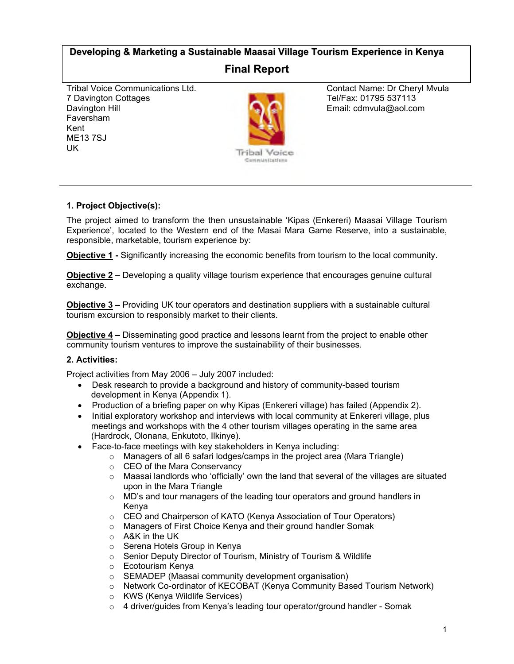# **Developing & Marketing a Sustainable Maasai Village Tourism Experience in Kenya**

# **Final Report**

Tribal Voice Communications Ltd. 7 Davington Cottages Davington Hill Faversham Kent ME13 7SJ UK



Contact Name: Dr Cheryl Mvula Tel/Fax: 01795 537113 Email: cdmvula@aol.com

# **1. Project Objective(s):**

The project aimed to transform the then unsustainable 'Kipas (Enkereri) Maasai Village Tourism Experience', located to the Western end of the Masai Mara Game Reserve, into a sustainable, responsible, marketable, tourism experience by:

**Objective 1 -** Significantly increasing the economic benefits from tourism to the local community.

**Objective 2 –** Developing a quality village tourism experience that encourages genuine cultural exchange.

**Objective 3 –** Providing UK tour operators and destination suppliers with a sustainable cultural tourism excursion to responsibly market to their clients.

**Objective 4 –** Disseminating good practice and lessons learnt from the project to enable other community tourism ventures to improve the sustainability of their businesses.

# **2. Activities:**

Project activities from May 2006 – July 2007 included:

- Desk research to provide a background and history of community-based tourism development in Kenya (Appendix 1).
- Production of a briefing paper on why Kipas (Enkereri village) has failed (Appendix 2).
- Initial exploratory workshop and interviews with local community at Enkereri village, plus meetings and workshops with the 4 other tourism villages operating in the same area (Hardrock, Olonana, Enkutoto, Ilkinye).
- Face-to-face meetings with key stakeholders in Kenya including:
	- o Managers of all 6 safari lodges/camps in the project area (Mara Triangle)
	- o CEO of the Mara Conservancy
	- $\circ$  Maasai landlords who 'officially' own the land that several of the villages are situated upon in the Mara Triangle
	- $\circ$  MD's and tour managers of the leading tour operators and ground handlers in Kenya
	- o CEO and Chairperson of KATO (Kenya Association of Tour Operators)
	- o Managers of First Choice Kenya and their ground handler Somak
	- o A&K in the UK
	- o Serena Hotels Group in Kenya
	- o Senior Deputy Director of Tourism, Ministry of Tourism & Wildlife
	- o Ecotourism Kenya
	- o SEMADEP (Maasai community development organisation)
	- o Network Co-ordinator of KECOBAT (Kenya Community Based Tourism Network)
	- o KWS (Kenya Wildlife Services)
	- $\circ$  4 driver/guides from Kenya's leading tour operator/ground handler Somak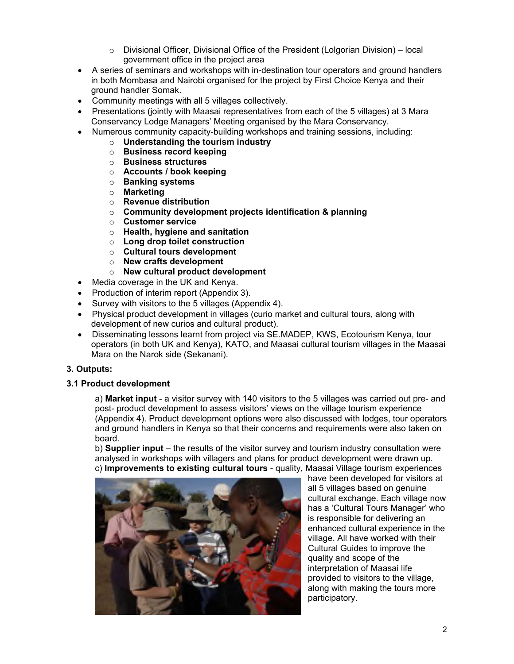- $\circ$  Divisional Officer, Divisional Office of the President (Lolgorian Division) local government office in the project area
- A series of seminars and workshops with in-destination tour operators and ground handlers in both Mombasa and Nairobi organised for the project by First Choice Kenya and their ground handler Somak.
- Community meetings with all 5 villages collectively.
- Presentations (jointly with Maasai representatives from each of the 5 villages) at 3 Mara Conservancy Lodge Managers' Meeting organised by the Mara Conservancy.
- Numerous community capacity-building workshops and training sessions, including:
	- o **Understanding the tourism industry**
	- o **Business record keeping**
	- o **Business structures**
	- o **Accounts / book keeping**
	- o **Banking systems**
	- o **Marketing**
	- o **Revenue distribution**
	- o **Community development projects identification & planning**
	- o **Customer service**
	- o **Health, hygiene and sanitation**
	- o **Long drop toilet construction**
	- o **Cultural tours development**
	- o **New crafts development**
	- o **New cultural product development**
- Media coverage in the UK and Kenya.
- Production of interim report (Appendix 3).
- Survey with visitors to the 5 villages (Appendix 4).
- Physical product development in villages (curio market and cultural tours, along with development of new curios and cultural product).
- Disseminating lessons learnt from project via SE.MADEP, KWS, Ecotourism Kenya, tour operators (in both UK and Kenya), KATO, and Maasai cultural tourism villages in the Maasai Mara on the Narok side (Sekanani).

# **3. Outputs:**

### **3.1 Product development**

a) **Market input** - a visitor survey with 140 visitors to the 5 villages was carried out pre- and post- product development to assess visitors' views on the village tourism experience (Appendix 4). Product development options were also discussed with lodges, tour operators and ground handlers in Kenya so that their concerns and requirements were also taken on board.

b) **Supplier input** – the results of the visitor survey and tourism industry consultation were analysed in workshops with villagers and plans for product development were drawn up. c) **Improvements to existing cultural tours** - quality, Maasai Village tourism experiences



have been developed for visitors at all 5 villages based on genuine cultural exchange. Each village now has a 'Cultural Tours Manager' who is responsible for delivering an enhanced cultural experience in the village. All have worked with their Cultural Guides to improve the quality and scope of the interpretation of Maasai life provided to visitors to the village, along with making the tours more participatory.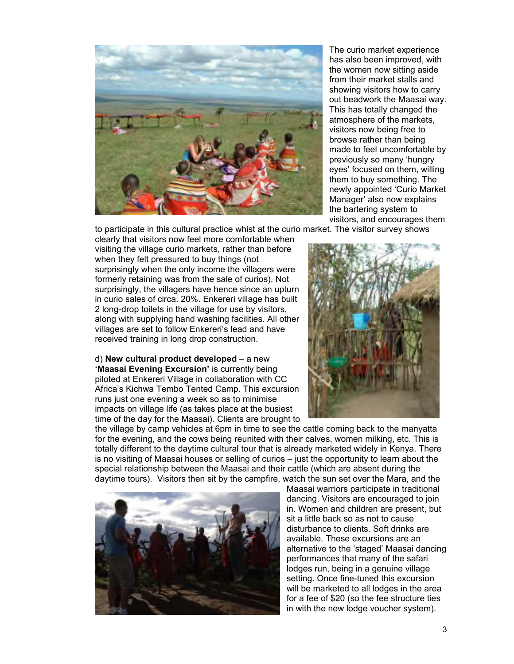

The curio market experience has also been improved, with the women now sitting aside from their market stalls and showing visitors how to carry out beadwork the Maasai way. This has totally changed the atmosphere of the markets, visitors now being free to browse rather than being made to feel uncomfortable by previously so many 'hungry eyes' focused on them, willing them to buy something. The newly appointed 'Curio Market Manager' also now explains the bartering system to visitors, and encourages them

to participate in this cultural practice whist at the curio market. The visitor survey shows

clearly that visitors now feel more comfortable when visiting the village curio markets, rather than before when they felt pressured to buy things (not surprisingly when the only income the villagers were formerly retaining was from the sale of curios). Not surprisingly, the villagers have hence since an upturn in curio sales of circa. 20%. Enkereri village has built 2 long-drop toilets in the village for use by visitors, along with supplying hand washing facilities. All other villages are set to follow Enkereri's lead and have received training in long drop construction.

d) **New cultural product developed** – a new **'Maasai Evening Excursion'** is currently being piloted at Enkereri Village in collaboration with CC Africa's Kichwa Tembo Tented Camp. This excursion runs just one evening a week so as to minimise impacts on village life (as takes place at the busiest time of the day for the Maasai). Clients are brought to



the village by camp vehicles at 6pm in time to see the cattle coming back to the manyatta for the evening, and the cows being reunited with their calves, women milking, etc. This is totally different to the daytime cultural tour that is already marketed widely in Kenya. There is no visiting of Maasai houses or selling of curios – just the opportunity to learn about the special relationship between the Maasai and their cattle (which are absent during the daytime tours). Visitors then sit by the campfire, watch the sun set over the Mara, and the



Maasai warriors participate in traditional dancing. Visitors are encouraged to join in. Women and children are present, but sit a little back so as not to cause disturbance to clients. Soft drinks are available. These excursions are an alternative to the 'staged' Maasai dancing performances that many of the safari lodges run, being in a genuine village setting. Once fine-tuned this excursion will be marketed to all lodges in the area for a fee of \$20 (so the fee structure ties in with the new lodge voucher system).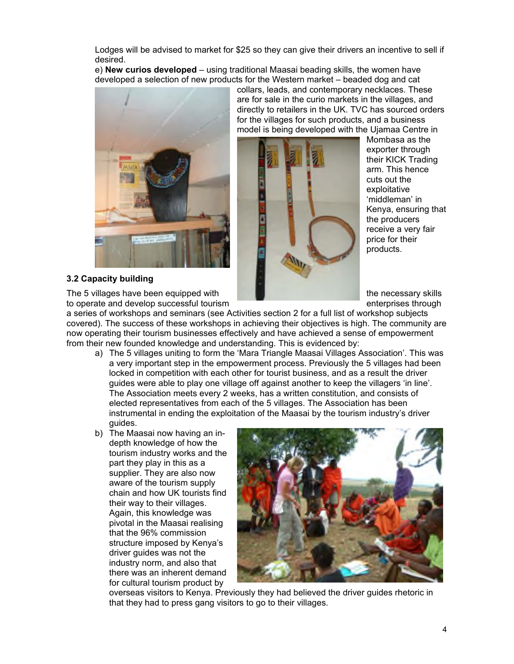Lodges will be advised to market for \$25 so they can give their drivers an incentive to sell if desired.

e) **New curios developed** – using traditional Maasai beading skills, the women have developed a selection of new products for the Western market – beaded dog and cat



collars, leads, and contemporary necklaces. These are for sale in the curio markets in the villages, and directly to retailers in the UK. TVC has sourced orders for the villages for such products, and a business model is being developed with the Ujamaa Centre in



Mombasa as the exporter through their KICK Trading arm. This hence cuts out the exploitative 'middleman' in Kenya, ensuring that the producers receive a very fair price for their products.

### **3.2 Capacity building**

The 5 villages have been equipped with the necessary skills to operate and develop successful tourism enterprises through enterprises through

a series of workshops and seminars (see Activities section 2 for a full list of workshop subjects covered). The success of these workshops in achieving their objectives is high. The community are now operating their tourism businesses effectively and have achieved a sense of empowerment from their new founded knowledge and understanding. This is evidenced by:

- a) The 5 villages uniting to form the 'Mara Triangle Maasai Villages Association'. This was a very important step in the empowerment process. Previously the 5 villages had been locked in competition with each other for tourist business, and as a result the driver guides were able to play one village off against another to keep the villagers 'in line'. The Association meets every 2 weeks, has a written constitution, and consists of elected representatives from each of the 5 villages. The Association has been instrumental in ending the exploitation of the Maasai by the tourism industry's driver guides.
- b) The Maasai now having an indepth knowledge of how the tourism industry works and the part they play in this as a supplier. They are also now aware of the tourism supply chain and how UK tourists find their way to their villages. Again, this knowledge was pivotal in the Maasai realising that the 96% commission structure imposed by Kenya's driver guides was not the industry norm, and also that there was an inherent demand for cultural tourism product by



overseas visitors to Kenya. Previously they had believed the driver guides rhetoric in that they had to press gang visitors to go to their villages.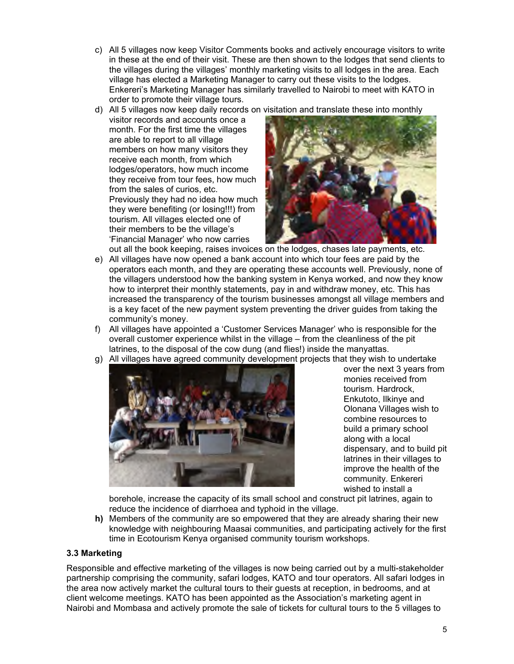- c) All 5 villages now keep Visitor Comments books and actively encourage visitors to write in these at the end of their visit. These are then shown to the lodges that send clients to the villages during the villages' monthly marketing visits to all lodges in the area. Each village has elected a Marketing Manager to carry out these visits to the lodges. Enkereri's Marketing Manager has similarly travelled to Nairobi to meet with KATO in order to promote their village tours.
- d) All 5 villages now keep daily records on visitation and translate these into monthly

visitor records and accounts once a month. For the first time the villages are able to report to all village members on how many visitors they receive each month, from which lodges/operators, how much income they receive from tour fees, how much from the sales of curios, etc. Previously they had no idea how much they were benefiting (or losing!!!) from tourism. All villages elected one of their members to be the village's 'Financial Manager' who now carries



- out all the book keeping, raises invoices on the lodges, chases late payments, etc. e) All villages have now opened a bank account into which tour fees are paid by the operators each month, and they are operating these accounts well. Previously, none of the villagers understood how the banking system in Kenya worked, and now they know how to interpret their monthly statements, pay in and withdraw money, etc. This has increased the transparency of the tourism businesses amongst all village members and is a key facet of the new payment system preventing the driver guides from taking the community's money.
- f) All villages have appointed a 'Customer Services Manager' who is responsible for the overall customer experience whilst in the village – from the cleanliness of the pit latrines, to the disposal of the cow dung (and flies!) inside the manyattas.
- g) All villages have agreed community development projects that they wish to undertake



over the next 3 years from monies received from tourism. Hardrock, Enkutoto, Ilkinye and Olonana Villages wish to combine resources to build a primary school along with a local dispensary, and to build pit latrines in their villages to improve the health of the community. Enkereri wished to install a

borehole, increase the capacity of its small school and construct pit latrines, again to reduce the incidence of diarrhoea and typhoid in the village.

**h)** Members of the community are so empowered that they are already sharing their new knowledge with neighbouring Maasai communities, and participating actively for the first time in Ecotourism Kenya organised community tourism workshops.

### **3.3 Marketing**

Responsible and effective marketing of the villages is now being carried out by a multi-stakeholder partnership comprising the community, safari lodges, KATO and tour operators. All safari lodges in the area now actively market the cultural tours to their guests at reception, in bedrooms, and at client welcome meetings. KATO has been appointed as the Association's marketing agent in Nairobi and Mombasa and actively promote the sale of tickets for cultural tours to the 5 villages to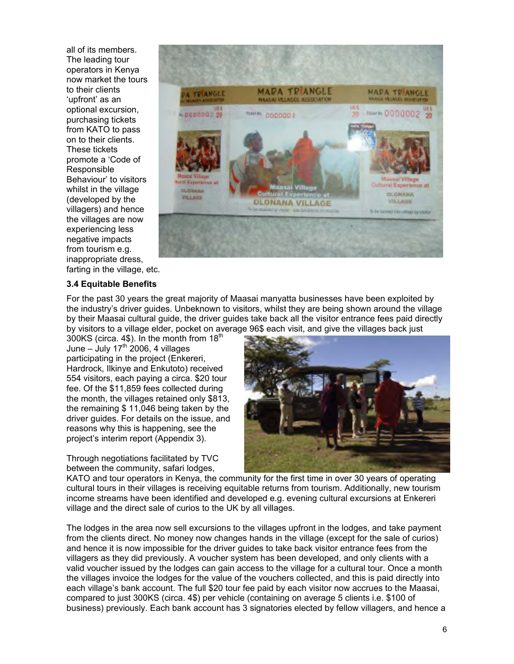all of its members. The leading tour operators in Kenya now market the tours to their clients 'upfront' as an optional excursion, purchasing tickets from KATO to pass on to their clients. These tickets promote a 'Code of Responsible Behaviour' to visitors whilst in the village (developed by the villagers) and hence the villages are now experiencing less negative impacts from tourism e.g. inappropriate dress, farting in the village, etc.



#### **3.4 Equitable Benefits**

For the past 30 years the great majority of Maasai manyatta businesses have been exploited by the industry's driver guides. Unbeknown to visitors, whilst they are being shown around the village by their Maasai cultural guide, the driver guides take back all the visitor entrance fees paid directly by visitors to a village elder, pocket on average 96\$ each visit, and give the villages back just

300KS (circa. 4\$). In the month from 18<sup>th</sup> June – July 17<sup>th</sup> 2006, 4 villages participating in the project (Enkereri, Hardrock, Ilkinye and Enkutoto) received 554 visitors, each paying a circa. \$20 tour fee. Of the \$11,859 fees collected during the month, the villages retained only \$813, the remaining \$ 11,046 being taken by the driver guides. For details on the issue, and reasons why this is happening, see the project's interim report (Appendix 3).

Through negotiations facilitated by TVC between the community, safari lodges,



KATO and tour operators in Kenya, the community for the first time in over 30 years of operating cultural tours in their villages is receiving equitable returns from tourism. Additionally, new tourism income streams have been identified and developed e.g. evening cultural excursions at Enkereri village and the direct sale of curios to the UK by all villages.

The lodges in the area now sell excursions to the villages upfront in the lodges, and take payment from the clients direct. No money now changes hands in the village (except for the sale of curios) and hence it is now impossible for the driver guides to take back visitor entrance fees from the villagers as they did previously. A voucher system has been developed, and only clients with a valid voucher issued by the lodges can gain access to the village for a cultural tour. Once a month the villages invoice the lodges for the value of the vouchers collected, and this is paid directly into each village's bank account. The full \$20 tour fee paid by each visitor now accrues to the Maasai, compared to just 300KS (circa. 4\$) per vehicle (containing on average 5 clients i.e. \$100 of business) previously. Each bank account has 3 signatories elected by fellow villagers, and hence a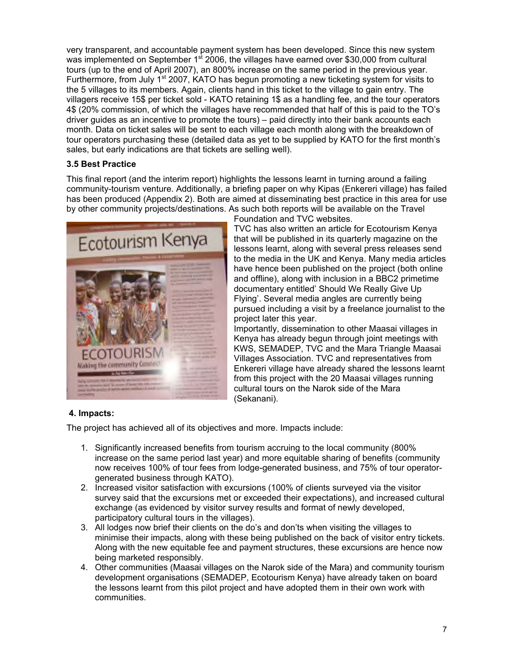very transparent, and accountable payment system has been developed. Since this new system was implemented on September  $1<sup>st</sup>$  2006, the villages have earned over \$30,000 from cultural tours (up to the end of April 2007), an 800% increase on the same period in the previous year. Furthermore, from July 1<sup>st</sup> 2007, KATO has begun promoting a new ticketing system for visits to the 5 villages to its members. Again, clients hand in this ticket to the village to gain entry. The villagers receive 15\$ per ticket sold - KATO retaining 1\$ as a handling fee, and the tour operators 4\$ (20% commission, of which the villages have recommended that half of this is paid to the TO's driver guides as an incentive to promote the tours) – paid directly into their bank accounts each month. Data on ticket sales will be sent to each village each month along with the breakdown of tour operators purchasing these (detailed data as yet to be supplied by KATO for the first month's sales, but early indications are that tickets are selling well).

# **3.5 Best Practice**

This final report (and the interim report) highlights the lessons learnt in turning around a failing community-tourism venture. Additionally, a briefing paper on why Kipas (Enkereri village) has failed has been produced (Appendix 2). Both are aimed at disseminating best practice in this area for use by other community projects/destinations. As such both reports will be available on the Travel



Foundation and TVC websites.

TVC has also written an article for Ecotourism Kenya that will be published in its quarterly magazine on the lessons learnt, along with several press releases send to the media in the UK and Kenya. Many media articles have hence been published on the project (both online and offline), along with inclusion in a BBC2 primetime documentary entitled' Should We Really Give Up Flying'. Several media angles are currently being pursued including a visit by a freelance journalist to the project later this year.

Importantly, dissemination to other Maasai villages in Kenya has already begun through joint meetings with KWS, SEMADEP, TVC and the Mara Triangle Maasai Villages Association. TVC and representatives from Enkereri village have already shared the lessons learnt from this project with the 20 Maasai villages running cultural tours on the Narok side of the Mara (Sekanani).

# **4. Impacts:**

The project has achieved all of its objectives and more. Impacts include:

- 1. Significantly increased benefits from tourism accruing to the local community (800% increase on the same period last year) and more equitable sharing of benefits (community now receives 100% of tour fees from lodge-generated business, and 75% of tour operatorgenerated business through KATO).
- 2. Increased visitor satisfaction with excursions (100% of clients surveyed via the visitor survey said that the excursions met or exceeded their expectations), and increased cultural exchange (as evidenced by visitor survey results and format of newly developed, participatory cultural tours in the villages).
- 3. All lodges now brief their clients on the do's and don'ts when visiting the villages to minimise their impacts, along with these being published on the back of visitor entry tickets. Along with the new equitable fee and payment structures, these excursions are hence now being marketed responsibly.
- 4. Other communities (Maasai villages on the Narok side of the Mara) and community tourism development organisations (SEMADEP, Ecotourism Kenya) have already taken on board the lessons learnt from this pilot project and have adopted them in their own work with communities.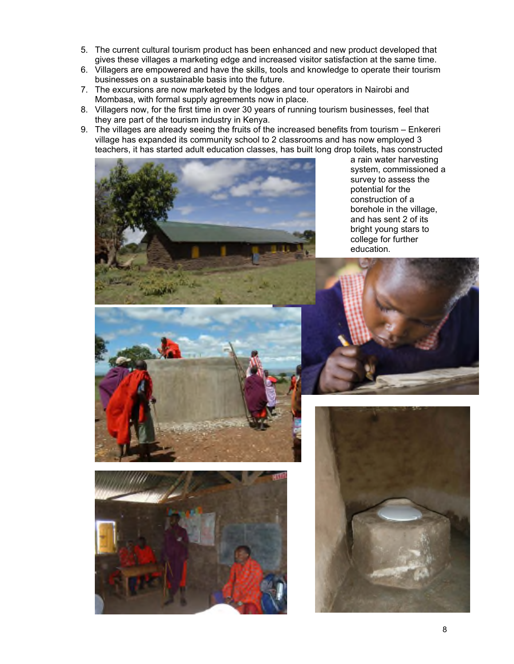- 5. The current cultural tourism product has been enhanced and new product developed that gives these villages a marketing edge and increased visitor satisfaction at the same time.
- 6. Villagers are empowered and have the skills, tools and knowledge to operate their tourism businesses on a sustainable basis into the future.
- 7. The excursions are now marketed by the lodges and tour operators in Nairobi and Mombasa, with formal supply agreements now in place.
- 8. Villagers now, for the first time in over 30 years of running tourism businesses, feel that they are part of the tourism industry in Kenya.
- 9. The villages are already seeing the fruits of the increased benefits from tourism Enkereri village has expanded its community school to 2 classrooms and has now employed 3 teachers, it has started adult education classes, has built long drop toilets, has constructed



a rain water harvesting system, commissioned a survey to assess the potential for the construction of a borehole in the village, and has sent 2 of its bright young stars to college for further education.







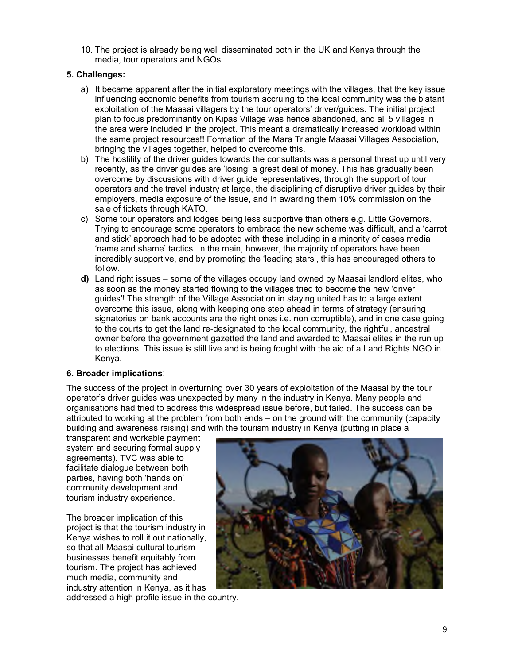10. The project is already being well disseminated both in the UK and Kenya through the media, tour operators and NGOs.

## **5. Challenges:**

- a) It became apparent after the initial exploratory meetings with the villages, that the key issue influencing economic benefits from tourism accruing to the local community was the blatant exploitation of the Maasai villagers by the tour operators' driver/guides. The initial project plan to focus predominantly on Kipas Village was hence abandoned, and all 5 villages in the area were included in the project. This meant a dramatically increased workload within the same project resources!! Formation of the Mara Triangle Maasai Villages Association, bringing the villages together, helped to overcome this.
- b) The hostility of the driver guides towards the consultants was a personal threat up until very recently, as the driver guides are 'losing' a great deal of money. This has gradually been overcome by discussions with driver guide representatives, through the support of tour operators and the travel industry at large, the disciplining of disruptive driver guides by their employers, media exposure of the issue, and in awarding them 10% commission on the sale of tickets through KATO.
- c) Some tour operators and lodges being less supportive than others e.g. Little Governors. Trying to encourage some operators to embrace the new scheme was difficult, and a 'carrot and stick' approach had to be adopted with these including in a minority of cases media 'name and shame' tactics. In the main, however, the majority of operators have been incredibly supportive, and by promoting the 'leading stars', this has encouraged others to follow.
- **d)** Land right issues some of the villages occupy land owned by Maasai landlord elites, who as soon as the money started flowing to the villages tried to become the new 'driver guides'! The strength of the Village Association in staying united has to a large extent overcome this issue, along with keeping one step ahead in terms of strategy (ensuring signatories on bank accounts are the right ones i.e. non corruptible), and in one case going to the courts to get the land re-designated to the local community, the rightful, ancestral owner before the government gazetted the land and awarded to Maasai elites in the run up to elections. This issue is still live and is being fought with the aid of a Land Rights NGO in Kenya.

### **6. Broader implications**:

The success of the project in overturning over 30 years of exploitation of the Maasai by the tour operator's driver guides was unexpected by many in the industry in Kenya. Many people and organisations had tried to address this widespread issue before, but failed. The success can be attributed to working at the problem from both ends – on the ground with the community (capacity building and awareness raising) and with the tourism industry in Kenya (putting in place a

transparent and workable payment system and securing formal supply agreements). TVC was able to facilitate dialogue between both parties, having both 'hands on' community development and tourism industry experience.

The broader implication of this project is that the tourism industry in Kenya wishes to roll it out nationally, so that all Maasai cultural tourism businesses benefit equitably from tourism. The project has achieved much media, community and industry attention in Kenya, as it has



addressed a high profile issue in the country.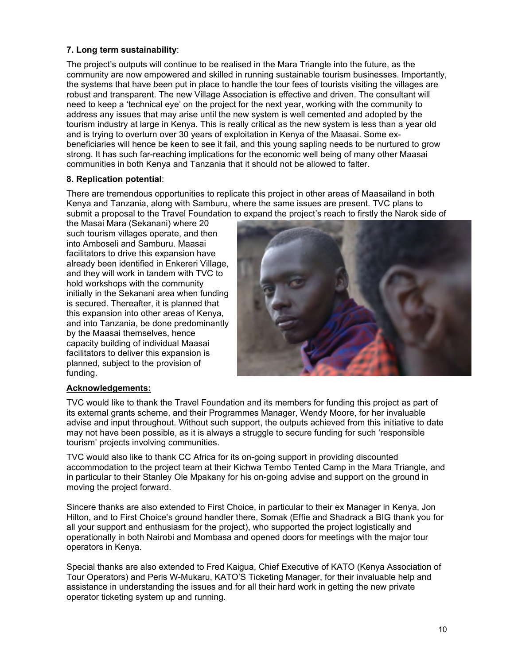# **7. Long term sustainability**:

The project's outputs will continue to be realised in the Mara Triangle into the future, as the community are now empowered and skilled in running sustainable tourism businesses. Importantly, the systems that have been put in place to handle the tour fees of tourists visiting the villages are robust and transparent. The new Village Association is effective and driven. The consultant will need to keep a 'technical eye' on the project for the next year, working with the community to address any issues that may arise until the new system is well cemented and adopted by the tourism industry at large in Kenya. This is really critical as the new system is less than a year old and is trying to overturn over 30 years of exploitation in Kenya of the Maasai. Some exbeneficiaries will hence be keen to see it fail, and this young sapling needs to be nurtured to grow strong. It has such far-reaching implications for the economic well being of many other Maasai communities in both Kenya and Tanzania that it should not be allowed to falter.

### **8. Replication potential**:

There are tremendous opportunities to replicate this project in other areas of Maasailand in both Kenya and Tanzania, along with Samburu, where the same issues are present. TVC plans to submit a proposal to the Travel Foundation to expand the project's reach to firstly the Narok side of

the Masai Mara (Sekanani) where 20 such tourism villages operate, and then into Amboseli and Samburu. Maasai facilitators to drive this expansion have already been identified in Enkereri Village, and they will work in tandem with TVC to hold workshops with the community initially in the Sekanani area when funding is secured. Thereafter, it is planned that this expansion into other areas of Kenya, and into Tanzania, be done predominantly by the Maasai themselves, hence capacity building of individual Maasai facilitators to deliver this expansion is planned, subject to the provision of funding.



#### **Acknowledgements:**

TVC would like to thank the Travel Foundation and its members for funding this project as part of its external grants scheme, and their Programmes Manager, Wendy Moore, for her invaluable advise and input throughout. Without such support, the outputs achieved from this initiative to date may not have been possible, as it is always a struggle to secure funding for such 'responsible tourism' projects involving communities.

TVC would also like to thank CC Africa for its on-going support in providing discounted accommodation to the project team at their Kichwa Tembo Tented Camp in the Mara Triangle, and in particular to their Stanley Ole Mpakany for his on-going advise and support on the ground in moving the project forward.

Sincere thanks are also extended to First Choice, in particular to their ex Manager in Kenya, Jon Hilton, and to First Choice's ground handler there, Somak (Effie and Shadrack a BIG thank you for all your support and enthusiasm for the project), who supported the project logistically and operationally in both Nairobi and Mombasa and opened doors for meetings with the major tour operators in Kenya.

Special thanks are also extended to Fred Kaigua, Chief Executive of KATO (Kenya Association of Tour Operators) and Peris W-Mukaru, KATO'S Ticketing Manager, for their invaluable help and assistance in understanding the issues and for all their hard work in getting the new private operator ticketing system up and running.